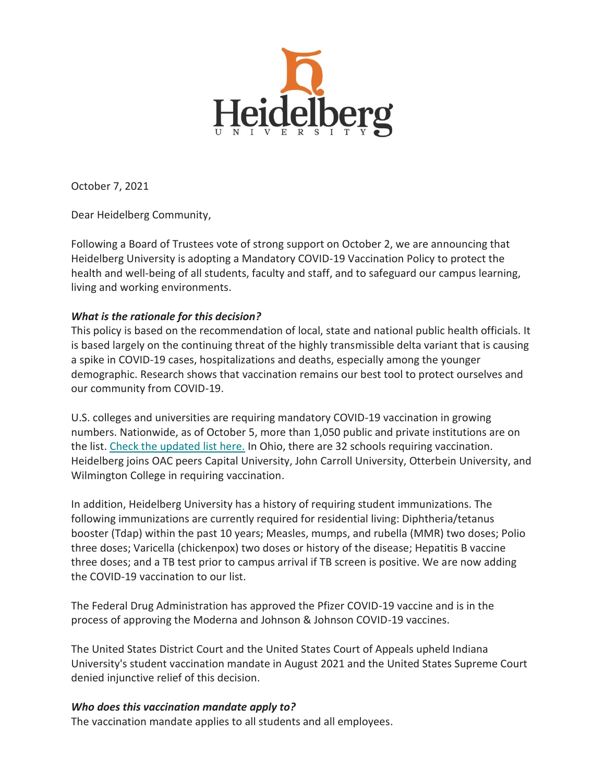

October 7, 2021

Dear Heidelberg Community,

Following a Board of Trustees vote of strong support on October 2, we are announcing that Heidelberg University is adopting a Mandatory COVID-19 Vaccination Policy to protect the health and well-being of all students, faculty and staff, and to safeguard our campus learning, living and working environments.

## *What is the rationale for this decision?*

This policy is based on the recommendation of local, state and national public health officials. It is based largely on the continuing threat of the highly transmissible delta variant that is causing a spike in COVID-19 cases, hospitalizations and deaths, especially among the younger demographic. Research shows that vaccination remains our best tool to protect ourselves and our community from COVID-19.

U.S. colleges and universities are requiring mandatory COVID-19 vaccination in growing numbers. Nationwide, as of October 5, more than 1,050 public and private institutions are on the list. [Check the updated list here.](https://www.chronicle.com/blogs/live-coronavirus-updates/heres-a-list-of-colleges-that-will-require-students-to-be-vaccinated-against-covid-19) In Ohio, there are 32 schools requiring vaccination. Heidelberg joins OAC peers Capital University, John Carroll University, Otterbein University, and Wilmington College in requiring vaccination.

In addition, Heidelberg University has a history of requiring student immunizations. The following immunizations are currently required for residential living: Diphtheria/tetanus booster (Tdap) within the past 10 years; Measles, mumps, and rubella (MMR) two doses; Polio three doses; Varicella (chickenpox) two doses or history of the disease; Hepatitis B vaccine three doses; and a TB test prior to campus arrival if TB screen is positive. We are now adding the COVID-19 vaccination to our list.

The Federal Drug Administration has approved the Pfizer COVID-19 vaccine and is in the process of approving the Moderna and Johnson & Johnson COVID-19 vaccines.

The United States District Court and the United States Court of Appeals upheld Indiana University's student vaccination mandate in August 2021 and the United States Supreme Court denied injunctive relief of this decision.

#### *Who does this vaccination mandate apply to?*

The vaccination mandate applies to all students and all employees.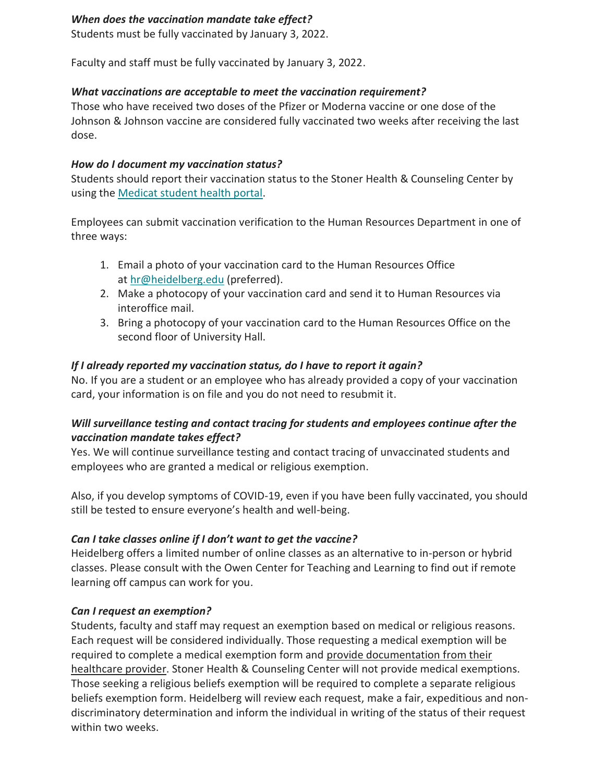#### *When does the vaccination mandate take effect?*

Students must be fully vaccinated by January 3, 2022.

Faculty and staff must be fully vaccinated by January 3, 2022.

# *What vaccinations are acceptable to meet the vaccination requirement?*

Those who have received two doses of the Pfizer or Moderna vaccine or one dose of the Johnson & Johnson vaccine are considered fully vaccinated two weeks after receiving the last dose.

#### *How do I document my vaccination status?*

Students should report their vaccination status to the Stoner Health & Counseling Center by using the [Medicat student health portal.](https://heidelberg.medicatconnect.com/)

Employees can submit vaccination verification to the Human Resources Department in one of three ways:

- 1. Email a photo of your vaccination card to the Human Resources Office at [hr@heidelberg.edu](mailto:hr@heidelberg.edu) (preferred).
- 2. Make a photocopy of your vaccination card and send it to Human Resources via interoffice mail.
- 3. Bring a photocopy of your vaccination card to the Human Resources Office on the second floor of University Hall.

## *If I already reported my vaccination status, do I have to report it again?*

No. If you are a student or an employee who has already provided a copy of your vaccination card, your information is on file and you do not need to resubmit it.

## *Will surveillance testing and contact tracing for students and employees continue after the vaccination mandate takes effect?*

Yes. We will continue surveillance testing and contact tracing of unvaccinated students and employees who are granted a medical or religious exemption.

Also, if you develop symptoms of COVID-19, even if you have been fully vaccinated, you should still be tested to ensure everyone's health and well-being.

## *Can I take classes online if I don't want to get the vaccine?*

Heidelberg offers a limited number of online classes as an alternative to in-person or hybrid classes. Please consult with the Owen Center for Teaching and Learning to find out if remote learning off campus can work for you.

## *Can I request an exemption?*

Students, faculty and staff may request an exemption based on medical or religious reasons. Each request will be considered individually. Those requesting a medical exemption will be required to complete a medical exemption form and provide documentation from their healthcare provider. Stoner Health & Counseling Center will not provide medical exemptions. Those seeking a religious beliefs exemption will be required to complete a separate religious beliefs exemption form. Heidelberg will review each request, make a fair, expeditious and nondiscriminatory determination and inform the individual in writing of the status of their request within two weeks.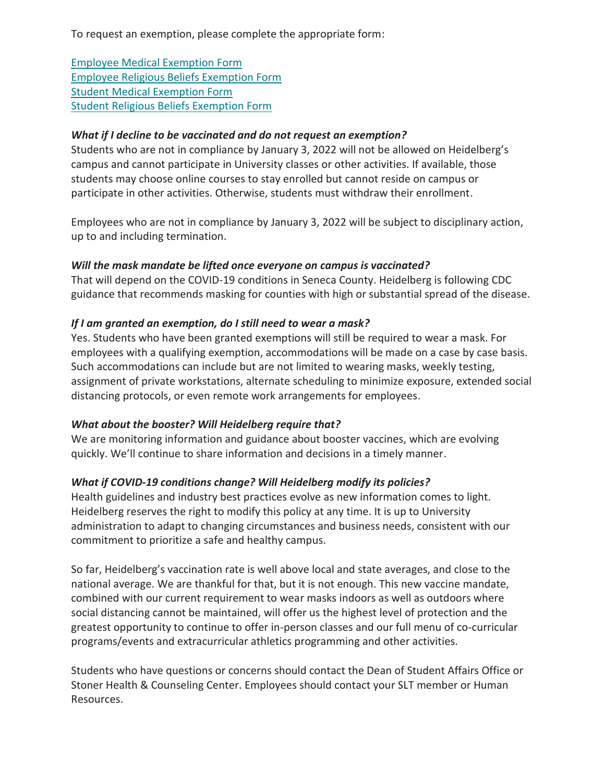To request an exemption, please complete the appropriate form:

[Employee Medical Exemption Form](https://inside.heidelberg.edu/docs/exemption-forms) [Employee Religious Beliefs Exemption Form](https://inside.heidelberg.edu/docs/exemption-forms) [Student Medical Exemption Form](https://inside.heidelberg.edu/docs/exemption-forms) [Student Religious Beliefs Exemption Form](https://inside.heidelberg.edu/docs/exemption-forms)

#### *What if I decline to be vaccinated and do not request an exemption?*

Students who are not in compliance by January 3, 2022 will not be allowed on Heidelberg's campus and cannot participate in University classes or other activities. If available, those students may choose online courses to stay enrolled but cannot reside on campus or participate in other activities. Otherwise, students must withdraw their enrollment.

Employees who are not in compliance by January 3, 2022 will be subject to disciplinary action, up to and including termination.

#### *Will the mask mandate be lifted once everyone on campus is vaccinated?*

That will depend on the COVID-19 conditions in Seneca County. Heidelberg is following CDC guidance that recommends masking for counties with high or substantial spread of the disease.

#### *If I am granted an exemption, do I still need to wear a mask?*

Yes. Students who have been granted exemptions will still be required to wear a mask. For employees with a qualifying exemption, accommodations will be made on a case by case basis. Such accommodations can include but are not limited to wearing masks, weekly testing, assignment of private workstations, alternate scheduling to minimize exposure, extended social distancing protocols, or even remote work arrangements for employees.

## *What about the booster? Will Heidelberg require that?*

We are monitoring information and guidance about booster vaccines, which are evolving quickly. We'll continue to share information and decisions in a timely manner.

## *What if COVID-19 conditions change? Will Heidelberg modify its policies?*

Health guidelines and industry best practices evolve as new information comes to light. Heidelberg reserves the right to modify this policy at any time. It is up to University administration to adapt to changing circumstances and business needs, consistent with our commitment to prioritize a safe and healthy campus.

So far, Heidelberg's vaccination rate is well above local and state averages, and close to the national average. We are thankful for that, but it is not enough. This new vaccine mandate, combined with our current requirement to wear masks indoors as well as outdoors where social distancing cannot be maintained, will offer us the highest level of protection and the greatest opportunity to continue to offer in-person classes and our full menu of co-curricular programs/events and extracurricular athletics programming and other activities.

Students who have questions or concerns should contact the Dean of Student Affairs Office or Stoner Health & Counseling Center. Employees should contact your SLT member or Human Resources.